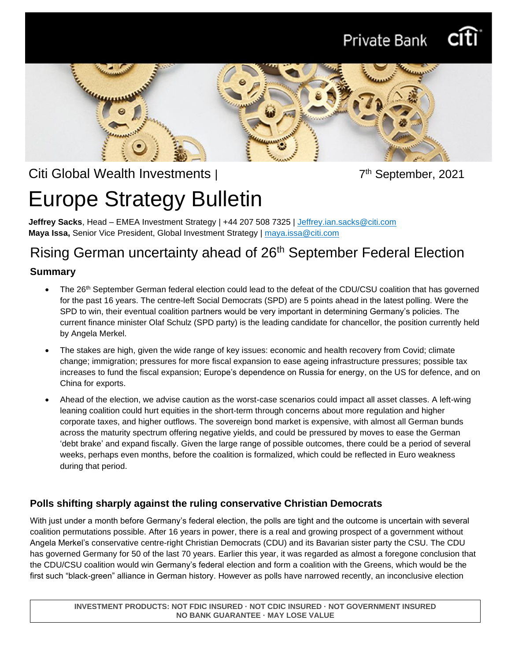



# Citi Global Wealth Investments |

7<sup>th</sup> September, 2021

# Europe Strategy Bulletin

**Jeffrey Sacks**, Head – EMEA Investment Strategy | +44 207 508 7325 | [Jeffrey.ian.sacks@citi.com](mailto:Jeffrey.ian.sacks@citi.com) **Maya Issa,** Senior Vice President, Global Investment Strategy | maya.issa@citi.com

# Rising German uncertainty ahead of 26th September Federal Election

### **Summary**

- The 26<sup>th</sup> September German federal election could lead to the defeat of the CDU/CSU coalition that has governed for the past 16 years. The centre-left Social Democrats (SPD) are 5 points ahead in the latest polling. Were the SPD to win, their eventual coalition partners would be very important in determining Germany's policies. The current finance minister Olaf Schulz (SPD party) is the leading candidate for chancellor, the position currently held by Angela Merkel.
- The stakes are high, given the wide range of key issues: economic and health recovery from Covid; climate change; immigration; pressures for more fiscal expansion to ease ageing infrastructure pressures; possible tax increases to fund the fiscal expansion; Europe's dependence on Russia for energy, on the US for defence, and on China for exports.
- Ahead of the election, we advise caution as the worst-case scenarios could impact all asset classes. A left-wing leaning coalition could hurt equities in the short-term through concerns about more regulation and higher corporate taxes, and higher outflows. The sovereign bond market is expensive, with almost all German bunds across the maturity spectrum offering negative yields, and could be pressured by moves to ease the German 'debt brake' and expand fiscally. Given the large range of possible outcomes, there could be a period of several weeks, perhaps even months, before the coalition is formalized, which could be reflected in Euro weakness during that period.

## **Polls shifting sharply against the ruling conservative Christian Democrats**

With just under a month before Germany's federal election, the polls are tight and the outcome is uncertain with several coalition permutations possible. After 16 years in power, there is a real and growing prospect of a government without Angela Merkel's conservative centre-right Christian Democrats (CDU) and its Bavarian sister party the CSU. The CDU has governed Germany for 50 of the last 70 years. Earlier this year, it was regarded as almost a foregone conclusion that the CDU/CSU coalition would win Germany's federal election and form a coalition with the Greens, which would be the first such "black-green" alliance in German history. However as polls have narrowed recently, an inconclusive election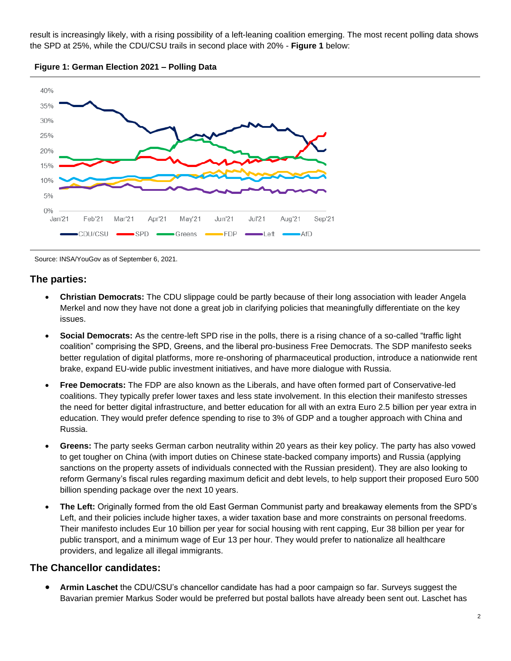result is increasingly likely, with a rising possibility of a left-leaning coalition emerging. The most recent polling data shows the SPD at 25%, while the CDU/CSU trails in second place with 20% - **Figure 1** below:



**Figure 1: German Election 2021 – Polling Data** 

Source: INSA/YouGov as of September 6, 2021.

#### **The parties:**

- **Christian Democrats:** The CDU slippage could be partly because of their long association with leader Angela Merkel and now they have not done a great job in clarifying policies that meaningfully differentiate on the key issues.
- **Social Democrats:** As the centre-left SPD rise in the polls, there is a rising chance of a so-called "traffic light coalition" comprising the SPD, Greens, and the liberal pro-business Free Democrats. The SDP manifesto seeks better regulation of digital platforms, more re-onshoring of pharmaceutical production, introduce a nationwide rent brake, expand EU-wide public investment initiatives, and have more dialogue with Russia.
- **Free Democrats:** The FDP are also known as the Liberals, and have often formed part of Conservative-led coalitions. They typically prefer lower taxes and less state involvement. In this election their manifesto stresses the need for better digital infrastructure, and better education for all with an extra Euro 2.5 billion per year extra in education. They would prefer defence spending to rise to 3% of GDP and a tougher approach with China and Russia.
- **Greens:** The party seeks German carbon neutrality within 20 years as their key policy. The party has also vowed to get tougher on China (with import duties on Chinese state-backed company imports) and Russia (applying sanctions on the property assets of individuals connected with the Russian president). They are also looking to reform Germany's fiscal rules regarding maximum deficit and debt levels, to help support their proposed Euro 500 billion spending package over the next 10 years.
- **The Left:** Originally formed from the old East German Communist party and breakaway elements from the SPD's Left, and their policies include higher taxes, a wider taxation base and more constraints on personal freedoms. Their manifesto includes Eur 10 billion per year for social housing with rent capping, Eur 38 billion per year for public transport, and a minimum wage of Eur 13 per hour. They would prefer to nationalize all healthcare providers, and legalize all illegal immigrants.

#### **The Chancellor candidates:**

• **Armin Laschet** the CDU/CSU's chancellor candidate has had a poor campaign so far. Surveys suggest the Bavarian premier Markus Soder would be preferred but postal ballots have already been sent out. Laschet has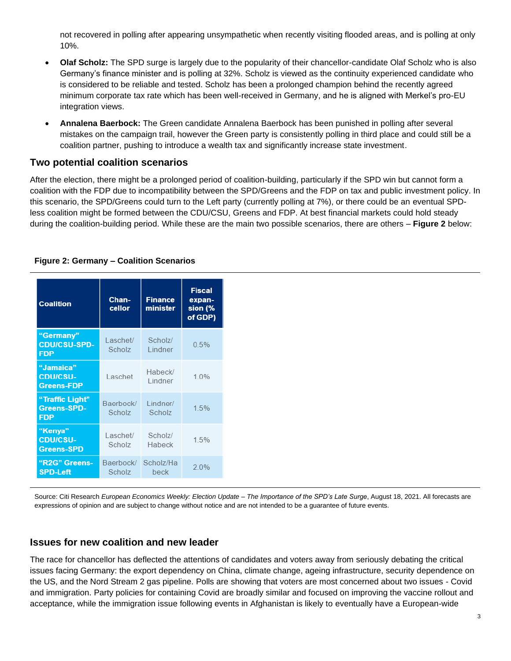not recovered in polling after appearing unsympathetic when recently visiting flooded areas, and is polling at only 10%.

- **Olaf Scholz:** The SPD surge is largely due to the popularity of their chancellor-candidate Olaf Scholz who is also Germany's finance minister and is polling at 32%. Scholz is viewed as the continuity experienced candidate who is considered to be reliable and tested. Scholz has been a prolonged champion behind the recently agreed minimum corporate tax rate which has been well-received in Germany, and he is aligned with Merkel's pro-EU integration views.
- **Annalena Baerbock:** The Green candidate Annalena Baerbock has been punished in polling after several mistakes on the campaign trail, however the Green party is consistently polling in third place and could still be a coalition partner, pushing to introduce a wealth tax and significantly increase state investment.

#### **Two potential coalition scenarios**

After the election, there might be a prolonged period of coalition-building, particularly if the SPD win but cannot form a coalition with the FDP due to incompatibility between the SPD/Greens and the FDP on tax and public investment policy. In this scenario, the SPD/Greens could turn to the Left party (currently polling at 7%), or there could be an eventual SPDless coalition might be formed between the CDU/CSU, Greens and FDP. At best financial markets could hold steady during the coalition-building period. While these are the main two possible scenarios, there are others – **Figure 2** below:

#### **Figure 2: Germany – Coalition Scenarios**

| <b>Coalition</b>                                    | Chan-<br>cellor     | <b>Finance</b><br>minister | <b>Fiscal</b><br>expan-<br>sion (%<br>of GDP) |
|-----------------------------------------------------|---------------------|----------------------------|-----------------------------------------------|
| "Germany"<br><b>CDU/CSU-SPD-</b><br><b>FDP</b>      | Laschet/<br>Scholz  | Scholz/<br>Lindner         | 0.5%                                          |
| "Jamaica"<br><b>CDU/CSU-</b><br><b>Greens-FDP</b>   | Laschet             | Habeck/<br>Lindner         | 1.0%                                          |
| "Traffic Light"<br><b>Greens-SPD-</b><br><b>FDP</b> | Baerbock/<br>Scholz | Lindner/<br>Scholz         | 1.5%                                          |
| "Kenya"<br><b>CDU/CSU-</b><br><b>Greens-SPD</b>     | Laschet/<br>Scholz  | Scholz/<br>Habeck          | 1.5%                                          |
| "R2G" Greens-<br><b>SPD-Left</b>                    | Baerbock/<br>Scholz | Scholz/Ha<br>beck          | 2.0%                                          |

Source: Citi Research *European Economics Weekly: Election Update – The Importance of the SPD's Late Surge*, August 18, 2021. All forecasts are expressions of opinion and are subject to change without notice and are not intended to be a guarantee of future events.

#### **Issues for new coalition and new leader**

The race for chancellor has deflected the attentions of candidates and voters away from seriously debating the critical issues facing Germany: the export dependency on China, climate change, ageing infrastructure, security dependence on the US, and the Nord Stream 2 gas pipeline. Polls are showing that voters are most concerned about two issues - Covid and immigration. Party policies for containing Covid are broadly similar and focused on improving the vaccine rollout and acceptance, while the immigration issue following events in Afghanistan is likely to eventually have a European-wide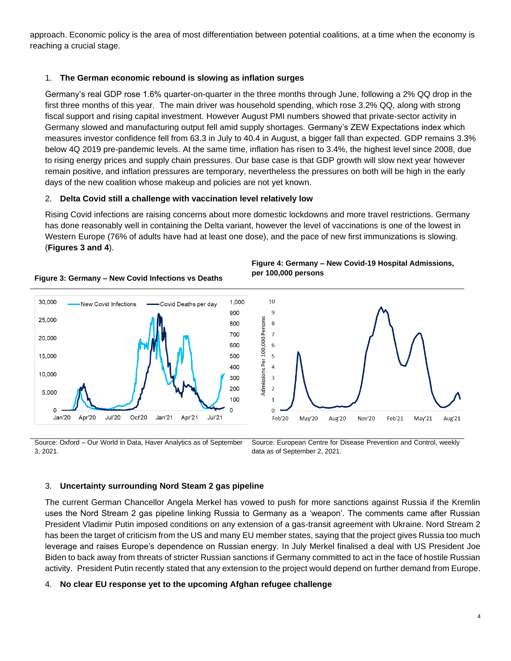approach. Economic policy is the area of most differentiation between potential coalitions, at a time when the economy is reaching a crucial stage.

#### 1. **The German economic rebound is slowing as inflation surges**

Germany's real GDP rose 1.6% quarter-on-quarter in the three months through June, following a 2% QQ drop in the first three months of this year. The main driver was household spending, which rose 3.2% QQ, along with strong fiscal support and rising capital investment. However August PMI numbers showed that private-sector activity in Germany slowed and manufacturing output fell amid supply shortages. Germany's ZEW Expectations index which measures investor confidence fell from 63.3 in July to 40.4 in August, a bigger fall than expected. GDP remains 3.3% below 4Q 2019 pre-pandemic levels. At the same time, inflation has risen to 3.4%, the highest level since 2008, due to rising energy prices and supply chain pressures. Our base case is that GDP growth will slow next year however remain positive, and inflation pressures are temporary, nevertheless the pressures on both will be high in the early days of the new coalition whose makeup and policies are not yet known.

#### 2. **Delta Covid still a challenge with vaccination level relatively low**

Rising Covid infections are raising concerns about more domestic lockdowns and more travel restrictions. Germany has done reasonably well in containing the Delta variant, however the level of vaccinations is one of the lowest in Western Europe (76% of adults have had at least one dose), and the pace of new first immunizations is slowing. (**Figures 3 and 4**).



**Figure 3: Germany – New Covid Infections vs Deaths**





Source: Oxford – Our World in Data, Haver Analytics as of September 3, 2021.

Source: European Centre for Disease Prevention and Control, weekly data as of September 2, 2021.

#### 3. **Uncertainty surrounding Nord Steam 2 gas pipeline**

The current German Chancellor Angela Merkel has vowed to push for more sanctions against Russia if the Kremlin uses the Nord Stream 2 gas pipeline linking Russia to Germany as a 'weapon'. The comments came after Russian President Vladimir Putin imposed conditions on any extension of a gas-transit agreement with Ukraine. Nord Stream 2 has been the target of criticism from the US and many EU member states, saying that the project gives Russia too much leverage and raises Europe's dependence on Russian energy. In July Merkel finalised a deal with US President Joe Biden to back away from threats of stricter Russian sanctions if Germany committed to act in the face of hostile Russian activity. President Putin recently stated that any extension to the project would depend on further demand from Europe.

#### 4. **No clear EU response yet to the upcoming Afghan refugee challenge**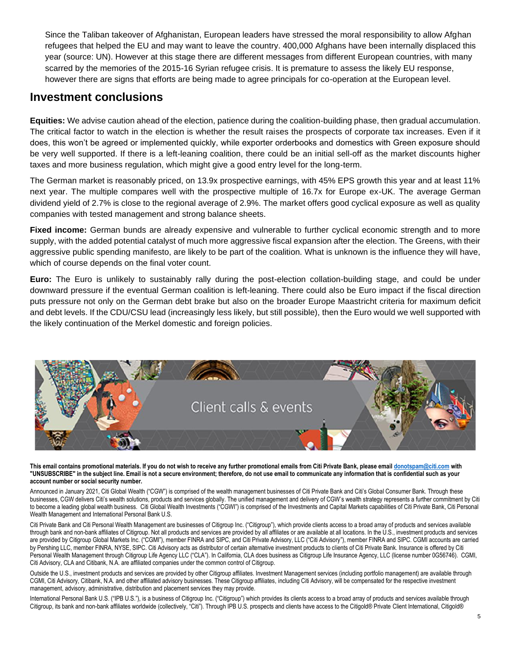Since the Taliban takeover of Afghanistan, European leaders have stressed the moral responsibility to allow Afghan refugees that helped the EU and may want to leave the country. 400,000 Afghans have been internally displaced this year (source: UN). However at this stage there are different messages from different European countries, with many scarred by the memories of the 2015-16 Syrian refugee crisis. It is premature to assess the likely EU response, however there are signs that efforts are being made to agree principals for co-operation at the European level.

## **Investment conclusions**

**Equities:** We advise caution ahead of the election, patience during the coalition-building phase, then gradual accumulation. The critical factor to watch in the election is whether the result raises the prospects of corporate tax increases. Even if it does, this won't be agreed or implemented quickly, while exporter orderbooks and domestics with Green exposure should be very well supported. If there is a left-leaning coalition, there could be an initial sell-off as the market discounts higher taxes and more business regulation, which might give a good entry level for the long-term.

The German market is reasonably priced, on 13.9x prospective earnings, with 45% EPS growth this year and at least 11% next year. The multiple compares well with the prospective multiple of 16.7x for Europe ex-UK. The average German dividend yield of 2.7% is close to the regional average of 2.9%. The market offers good cyclical exposure as well as quality companies with tested management and strong balance sheets.

**Fixed income:** German bunds are already expensive and vulnerable to further cyclical economic strength and to more supply, with the added potential catalyst of much more aggressive fiscal expansion after the election. The Greens, with their aggressive public spending manifesto, are likely to be part of the coalition. What is unknown is the influence they will have, which of course depends on the final voter count.

**Euro:** The Euro is unlikely to sustainably rally during the post-election collation-building stage, and could be under downward pressure if the eventual German coalition is left-leaning. There could also be Euro impact if the fiscal direction puts pressure not only on the German debt brake but also on the broader Europe Maastricht criteria for maximum deficit and debt levels. If the CDU/CSU lead (increasingly less likely, but still possible), then the Euro would we well supported with the likely continuation of the Merkel domestic and foreign policies.



**This email contains promotional materials. If you do not wish to receive any further promotional emails from Citi Private Bank, please emai[l donotspam@citi.com](mailto:donotspam@citi.com) with "UNSUBSCRIBE" in the subject line. Email is not a secure environment; therefore, do not use email to communicate any information that is confidential such as your account number or social security number.**

Announced in January 2021, Citi Global Wealth ("CGW") is comprised of the wealth management businesses of Citi Private Bank and Citi's Global Consumer Bank. Through these businesses, CGW delivers Citi's wealth solutions, products and services globally. The unified management and delivery of CGW's wealth strategy represents a further commitment by Citi to become a leading global wealth business. Citi Global Wealth Investments ("CGWI") is comprised of the Investments and Capital Markets capabilities of Citi Private Bank, Citi Personal Wealth Management and International Personal Bank U.S.

Citi Private Bank and Citi Personal Wealth Management are businesses of Citigroup Inc. ("Citigroup"), which provide clients access to a broad array of products and services available through bank and non-bank affiliates of Citigroup. Not all products and services are provided by all affiliates or are available at all locations. In the U.S., investment products and services are provided by Citigroup Global Markets Inc. ("CGMI"), member FINRA and SIPC, and Citi Private Advisory, LLC ("Citi Advisory"), member FINRA and SIPC. CGMI accounts are carried by Pershing LLC, member FINRA, NYSE, SIPC. Citi Advisory acts as distributor of certain alternative investment products to clients of Citi Private Bank. Insurance is offered by Citi Personal Wealth Management through Citigroup Life Agency LLC ("CLA"). In California, CLA does business as Citigroup Life Insurance Agency, LLC (license number 0G56746). CGMI, Citi Advisory, CLA and Citibank, N.A. are affiliated companies under the common control of Citigroup.

Outside the U.S., investment products and services are provided by other Citigroup affiliates. Investment Management services (including portfolio management) are available through CGMI, Citi Advisory, Citibank, N.A. and other affiliated advisory businesses. These Citigroup affiliates, including Citi Advisory, will be compensated for the respective investment management, advisory, administrative, distribution and placement services they may provide.

International Personal Bank U.S. ("IPB U.S."), is a business of Citigroup Inc. ("Citigroup") which provides its clients access to a broad array of products and services available through Citigroup, its bank and non-bank affiliates worldwide (collectively, "Citi"). Through IPB U.S. prospects and clients have access to the Citigold® Private Client International, Citigold®